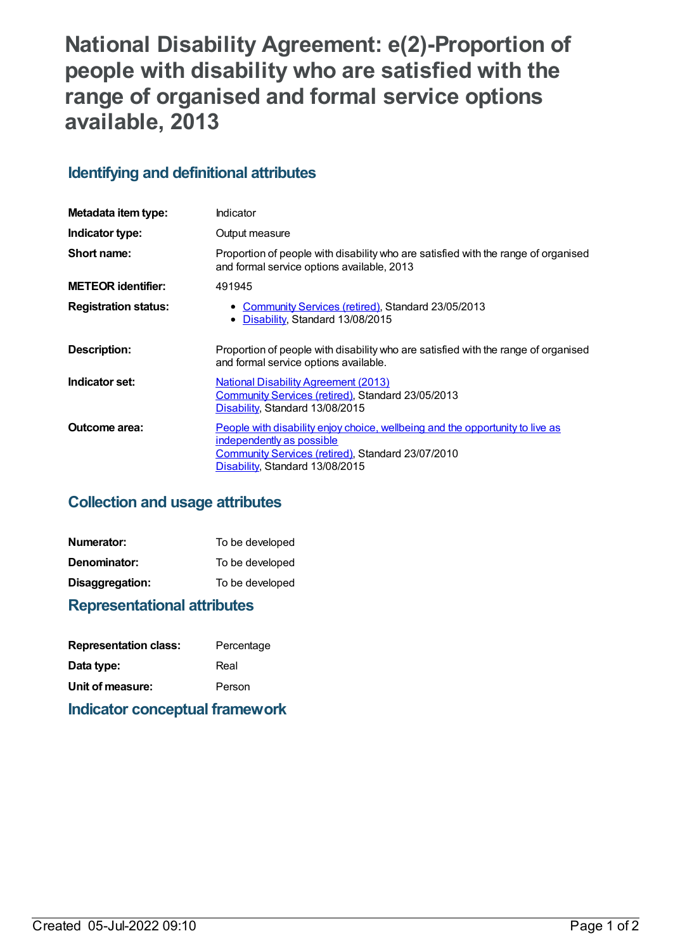# **National Disability Agreement: e(2)-Proportion of people with disability who are satisfied with the range of organised and formal service options available, 2013**

# **Identifying and definitional attributes**

| Metadata item type:         | Indicator                                                                                                                                                                                                 |
|-----------------------------|-----------------------------------------------------------------------------------------------------------------------------------------------------------------------------------------------------------|
| Indicator type:             | Output measure                                                                                                                                                                                            |
| Short name:                 | Proportion of people with disability who are satisfied with the range of organised<br>and formal service options available, 2013                                                                          |
| <b>METEOR identifier:</b>   | 491945                                                                                                                                                                                                    |
| <b>Registration status:</b> | • Community Services (retired), Standard 23/05/2013<br>Disability, Standard 13/08/2015<br>$\bullet$                                                                                                       |
| Description:                | Proportion of people with disability who are satisfied with the range of organised<br>and formal service options available.                                                                               |
| Indicator set:              | <b>National Disability Agreement (2013)</b><br>Community Services (retired), Standard 23/05/2013<br>Disability, Standard 13/08/2015                                                                       |
| <b>Outcome area:</b>        | <u>People with disability enjoy choice, wellbeing and the opportunity to live as</u><br>independently as possible<br>Community Services (retired), Standard 23/07/2010<br>Disability, Standard 13/08/2015 |

# **Collection and usage attributes**

| Numerator:      | To be developed |
|-----------------|-----------------|
| Denominator:    | To be developed |
| Disaggregation: | To be developed |

# **Representational attributes**

| <b>Representation class:</b> | Percentage |
|------------------------------|------------|
| Data type:                   | Real       |
| Unit of measure:             | Person     |

# **Indicator conceptual framework**